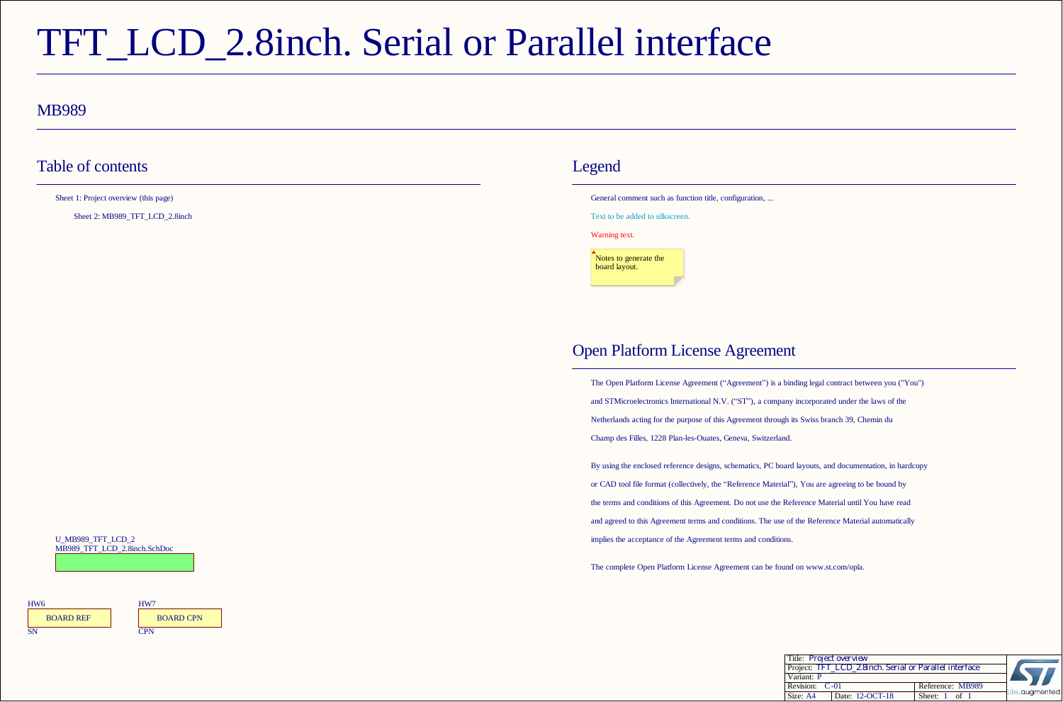# TFT\_LCD\_2.8inch. Serial or Parallel interface

#### MB989

### Table of contents Legend

Sheet 1: Project overview (this page)

Sheet 2: MB989\_TFT\_LCD\_2.8inch

General comment such as function title, configuration, ...

Text to be added to silkscreen.

Warning text.



## Open Platform License Agreement

The Open Platform License Agreement ("Agreement") is a binding legal contract between you ("You") and STMicroelectronics International N.V. ("ST"), a company incorporated under the laws of the Netherlands acting for the purpose of this Agreement through its Swiss branch 39, Chemin du Champ des Filles, 1228 Plan-les-Ouates, Geneva, Switzerland.

By using the enclosed reference designs, schematics, PC board layouts, and documentation, in hardcopy or CAD tool file format (collectively, the "Reference Material"), You are agreeing to be bound by the terms and conditions of this Agreement. Do not use the Reference Material until You have read and agreed to this Agreement terms and conditions. The use of the Reference Material automatically implies the acceptance of the Agreement terms and conditions.

The complete Open Platform License Agreement can be found on www.st.com/opla.

| Title: <b>Project overview</b>                         |                 |                  |                |
|--------------------------------------------------------|-----------------|------------------|----------------|
| Project: TFT LCD 2.8inch. Serial or Parallel interface |                 |                  |                |
| Variant: P                                             |                 |                  |                |
| Revision: C-01                                         |                 | Reference: MB989 | life.augmented |
| Size: A4                                               | Date: 12-OCT-18 | Sheet: 1         |                |